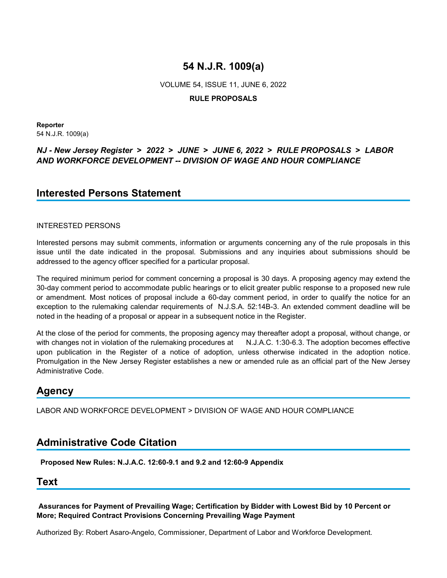VOLUME 54, ISSUE 11, JUNE 6, 2022

## **RULE PROPOSALS**

**Reporter** 54 N.J.R. 1009(a)

## *NJ - New Jersey Register* **>** *2022* **>** *JUNE* **>** *JUNE 6, 2022* **>** *RULE PROPOSALS* **>** *LABOR AND WORKFORCE DEVELOPMENT -- DIVISION OF WAGE AND HOUR COMPLIANCE*

## **Interested Persons Statement**

## INTERESTED PERSONS

Interested persons may submit comments, information or arguments concerning any of the rule proposals in this issue until the date indicated in the proposal. Submissions and any inquiries about submissions should be addressed to the agency officer specified for a particular proposal.

The required minimum period for comment concerning a proposal is 30 days. A proposing agency may extend the 30-day comment period to accommodate public hearings or to elicit greater public response to a proposed new rule or amendment. Most notices of proposal include a 60-day comment period, in order to qualify the notice for an exception to the rulemaking calendar requirements of N.J.S.A. 52:14B-3. An extended comment deadline will be noted in the heading of a proposal or appear in a subsequent notice in the Register.

At the close of the period for comments, the proposing agency may thereafter adopt a proposal, without change, or with changes not in violation of the rulemaking procedures at N.J.A.C. 1:30-6.3. The adoption becomes effective upon publication in the Register of a notice of adoption, unless otherwise indicated in the adoption notice. Promulgation in the New Jersey Register establishes a new or amended rule as an official part of the New Jersey Administrative Code.

## **Agency**

LABOR AND WORKFORCE DEVELOPMENT > DIVISION OF WAGE AND HOUR COMPLIANCE

## **Administrative Code Citation**

**Proposed New Rules: N.J.A.C. 12:60-9.1 and 9.2 and 12:60-9 Appendix**

## **Text**

**Assurances for Payment of Prevailing Wage; Certification by Bidder with Lowest Bid by 10 Percent or More; Required Contract Provisions Concerning Prevailing Wage Payment**

Authorized By: Robert Asaro-Angelo, Commissioner, Department of Labor and Workforce Development.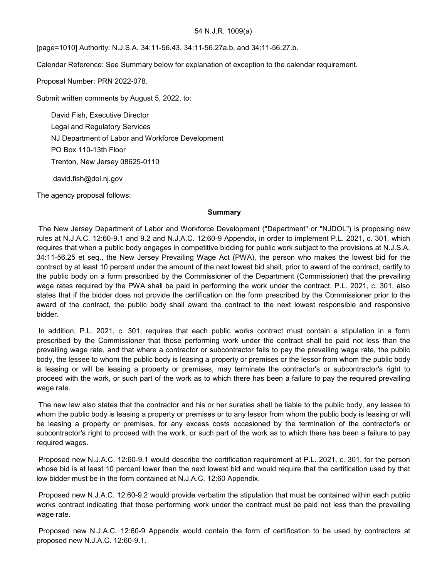[page=1010] Authority: N.J.S.A. 34:11-56.43, 34:11-56.27a.b, and 34:11-56.27.b.

Calendar Reference: See Summary below for explanation of exception to the calendar requirement.

Proposal Number: PRN 2022-078.

Submit written comments by August 5, 2022, to:

David Fish, Executive Director Legal and Regulatory Services NJ Department of Labor and Workforce Development PO Box 110-13th Floor Trenton, New Jersey 08625-0110

david.fish@dol.nj.gov

The agency proposal follows:

#### **Summary**

The New Jersey Department of Labor and Workforce Development ("Department" or "NJDOL") is proposing new rules at N.J.A.C. 12:60-9.1 and 9.2 and N.J.A.C. 12:60-9 Appendix, in order to implement P.L. 2021, c. 301, which requires that when a public body engages in competitive bidding for public work subject to the provisions at N.J.S.A. 34:11-56.25 et seq., the New Jersey Prevailing Wage Act (PWA), the person who makes the lowest bid for the contract by at least 10 percent under the amount of the next lowest bid shall, prior to award of the contract, certify to the public body on a form prescribed by the Commissioner of the Department (Commissioner) that the prevailing wage rates required by the PWA shall be paid in performing the work under the contract. P.L. 2021, c. 301, also states that if the bidder does not provide the certification on the form prescribed by the Commissioner prior to the award of the contract, the public body shall award the contract to the next lowest responsible and responsive bidder.

In addition, P.L. 2021, c. 301, requires that each public works contract must contain a stipulation in a form prescribed by the Commissioner that those performing work under the contract shall be paid not less than the prevailing wage rate, and that where a contractor or subcontractor fails to pay the prevailing wage rate, the public body, the lessee to whom the public body is leasing a property or premises or the lessor from whom the public body is leasing or will be leasing a property or premises, may terminate the contractor's or subcontractor's right to proceed with the work, or such part of the work as to which there has been a failure to pay the required prevailing wage rate.

The new law also states that the contractor and his or her sureties shall be liable to the public body, any lessee to whom the public body is leasing a property or premises or to any lessor from whom the public body is leasing or will be leasing a property or premises, for any excess costs occasioned by the termination of the contractor's or subcontractor's right to proceed with the work, or such part of the work as to which there has been a failure to pay required wages.

Proposed new N.J.A.C. 12:60-9.1 would describe the certification requirement at P.L. 2021, c. 301, for the person whose bid is at least 10 percent lower than the next lowest bid and would require that the certification used by that low bidder must be in the form contained at N.J.A.C. 12:60 Appendix.

Proposed new N.J.A.C. 12:60-9.2 would provide verbatim the stipulation that must be contained within each public works contract indicating that those performing work under the contract must be paid not less than the prevailing wage rate.

Proposed new N.J.A.C. 12:60-9 Appendix would contain the form of certification to be used by contractors at proposed new N.J.A.C. 12:60-9.1.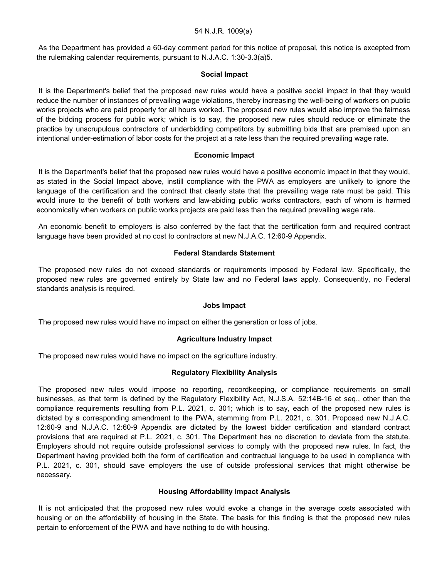As the Department has provided a 60-day comment period for this notice of proposal, this notice is excepted from the rulemaking calendar requirements, pursuant to N.J.A.C. 1:30-3.3(a)5.

### **Social Impact**

It is the Department's belief that the proposed new rules would have a positive social impact in that they would reduce the number of instances of prevailing wage violations, thereby increasing the well-being of workers on public works projects who are paid properly for all hours worked. The proposed new rules would also improve the fairness of the bidding process for public work; which is to say, the proposed new rules should reduce or eliminate the practice by unscrupulous contractors of underbidding competitors by submitting bids that are premised upon an intentional under-estimation of labor costs for the project at a rate less than the required prevailing wage rate.

### **Economic Impact**

It is the Department's belief that the proposed new rules would have a positive economic impact in that they would, as stated in the Social Impact above, instill compliance with the PWA as employers are unlikely to ignore the language of the certification and the contract that clearly state that the prevailing wage rate must be paid. This would inure to the benefit of both workers and law-abiding public works contractors, each of whom is harmed economically when workers on public works projects are paid less than the required prevailing wage rate.

An economic benefit to employers is also conferred by the fact that the certification form and required contract language have been provided at no cost to contractors at new N.J.A.C. 12:60-9 Appendix.

## **Federal Standards Statement**

The proposed new rules do not exceed standards or requirements imposed by Federal law. Specifically, the proposed new rules are governed entirely by State law and no Federal laws apply. Consequently, no Federal standards analysis is required.

#### **Jobs Impact**

The proposed new rules would have no impact on either the generation or loss of jobs.

## **Agriculture Industry Impact**

The proposed new rules would have no impact on the agriculture industry.

#### **Regulatory Flexibility Analysis**

The proposed new rules would impose no reporting, recordkeeping, or compliance requirements on small businesses, as that term is defined by the Regulatory Flexibility Act, N.J.S.A. 52:14B-16 et seq., other than the compliance requirements resulting from P.L. 2021, c. 301; which is to say, each of the proposed new rules is dictated by a corresponding amendment to the PWA, stemming from P.L. 2021, c. 301. Proposed new N.J.A.C. 12:60-9 and N.J.A.C. 12:60-9 Appendix are dictated by the lowest bidder certification and standard contract provisions that are required at P.L. 2021, c. 301. The Department has no discretion to deviate from the statute. Employers should not require outside professional services to comply with the proposed new rules. In fact, the Department having provided both the form of certification and contractual language to be used in compliance with P.L. 2021, c. 301, should save employers the use of outside professional services that might otherwise be necessary.

## **Housing Affordability Impact Analysis**

It is not anticipated that the proposed new rules would evoke a change in the average costs associated with housing or on the affordability of housing in the State. The basis for this finding is that the proposed new rules pertain to enforcement of the PWA and have nothing to do with housing.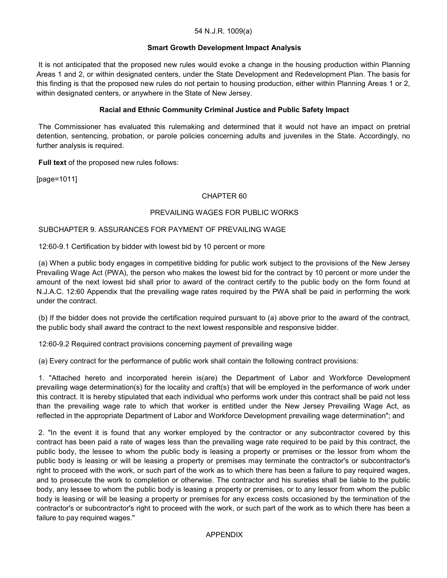### **Smart Growth Development Impact Analysis**

It is not anticipated that the proposed new rules would evoke a change in the housing production within Planning Areas 1 and 2, or within designated centers, under the State Development and Redevelopment Plan. The basis for this finding is that the proposed new rules do not pertain to housing production, either within Planning Areas 1 or 2, within designated centers, or anywhere in the State of New Jersey.

### **Racial and Ethnic Community Criminal Justice and Public Safety Impact**

The Commissioner has evaluated this rulemaking and determined that it would not have an impact on pretrial detention, sentencing, probation, or parole policies concerning adults and juveniles in the State. Accordingly, no further analysis is required.

**Full text** of the proposed new rules follows:

[page=1011]

## CHAPTER 60

### PREVAILING WAGES FOR PUBLIC WORKS

### SUBCHAPTER 9. ASSURANCES FOR PAYMENT OF PREVAILING WAGE

12:60-9.1 Certification by bidder with lowest bid by 10 percent or more

(a) When a public body engages in competitive bidding for public work subject to the provisions of the New Jersey Prevailing Wage Act (PWA), the person who makes the lowest bid for the contract by 10 percent or more under the amount of the next lowest bid shall prior to award of the contract certify to the public body on the form found at N.J.A.C. 12:60 Appendix that the prevailing wage rates required by the PWA shall be paid in performing the work under the contract.

(b) If the bidder does not provide the certification required pursuant to (a) above prior to the award of the contract, the public body shall award the contract to the next lowest responsible and responsive bidder.

12:60-9.2 Required contract provisions concerning payment of prevailing wage

(a) Every contract for the performance of public work shall contain the following contract provisions:

1. "Attached hereto and incorporated herein is(are) the Department of Labor and Workforce Development prevailing wage determination(s) for the locality and craft(s) that will be employed in the performance of work under this contract. It is hereby stipulated that each individual who performs work under this contract shall be paid not less than the prevailing wage rate to which that worker is entitled under the New Jersey Prevailing Wage Act, as reflected in the appropriate Department of Labor and Workforce Development prevailing wage determination"; and

2. "In the event it is found that any worker employed by the contractor or any subcontractor covered by this contract has been paid a rate of wages less than the prevailing wage rate required to be paid by this contract, the public body, the lessee to whom the public body is leasing a property or premises or the lessor from whom the public body is leasing or will be leasing a property or premises may terminate the contractor's or subcontractor's right to proceed with the work, or such part of the work as to which there has been a failure to pay required wages, and to prosecute the work to completion or otherwise. The contractor and his sureties shall be liable to the public body, any lessee to whom the public body is leasing a property or premises, or to any lessor from whom the public body is leasing or will be leasing a property or premises for any excess costs occasioned by the termination of the contractor's or subcontractor's right to proceed with the work, or such part of the work as to which there has been a failure to pay required wages."

#### APPENDIX